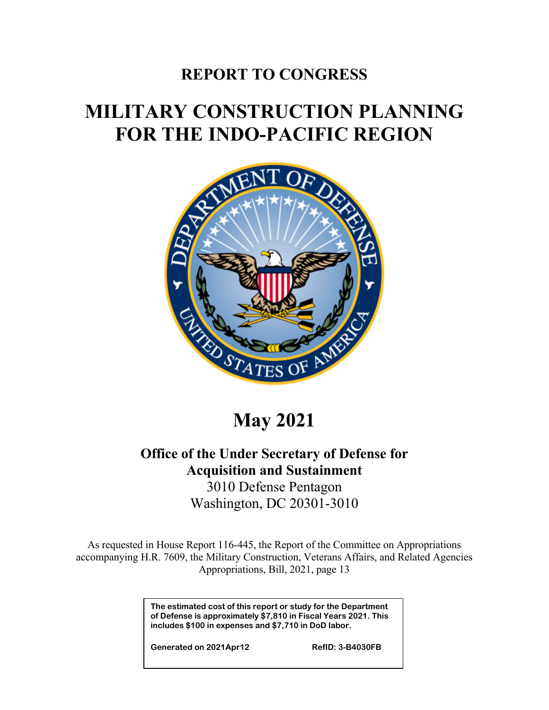## **REPORT TO CONGRESS**

# **MILITARY CONSTRUCTION PLANNING FOR THE INDO-PACIFIC REGION**



**May 2021**

### **Office of the Under Secretary of Defense for Acquisition and Sustainment** 3010 Defense Pentagon

Washington, DC 20301-3010

As requested in House Report 116-445, the Report of the Committee on Appropriations accompanying H.R. 7609, the Military Construction, Veterans Affairs, and Related Agencies Appropriations, Bill, 2021, page 13

> **The estimated cost of this report or study for the Department of Defense is approximately \$7,810 in Fiscal Years 2021. This includes \$100 in expenses and \$7,710 in DoD labor.**

**Generated on 2021Apr12 RefID: 3-B4030FB**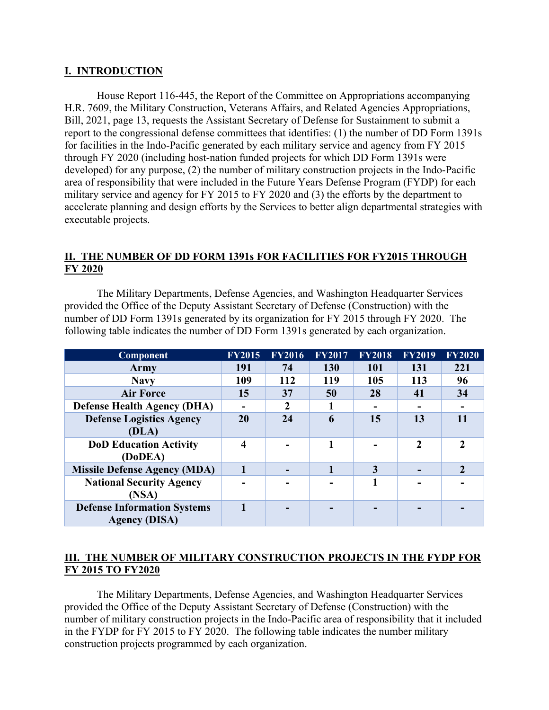#### **I. INTRODUCTION**

House Report 116-445, the Report of the Committee on Appropriations accompanying H.R. 7609, the Military Construction, Veterans Affairs, and Related Agencies Appropriations, Bill, 2021, page 13, requests the Assistant Secretary of Defense for Sustainment to submit a report to the congressional defense committees that identifies: (1) the number of DD Form 1391s for facilities in the Indo-Pacific generated by each military service and agency from FY 2015 through FY 2020 (including host-nation funded projects for which DD Form 1391s were developed) for any purpose, (2) the number of military construction projects in the Indo-Pacific area of responsibility that were included in the Future Years Defense Program (FYDP) for each military service and agency for FY 2015 to FY 2020 and (3) the efforts by the department to accelerate planning and design efforts by the Services to better align departmental strategies with executable projects.

#### **II. THE NUMBER OF DD FORM 1391s FOR FACILITIES FOR FY2015 THROUGH FY 2020**

The Military Departments, Defense Agencies, and Washington Headquarter Services provided the Office of the Deputy Assistant Secretary of Defense (Construction) with the number of DD Form 1391s generated by its organization for FY 2015 through FY 2020. The following table indicates the number of DD Form 1391s generated by each organization.

| Component                                                  | <b>FY2015</b>    | <b>FY2016</b> | <b>FY2017</b> | <b>FY2018</b> | <b>FY2019</b> | <b>FY2020</b>  |
|------------------------------------------------------------|------------------|---------------|---------------|---------------|---------------|----------------|
| Army                                                       | 191              | 74            | 130           | <b>101</b>    | 131           | 221            |
| <b>Navy</b>                                                | 109              | 112           | 119           | 105           | 113           | 96             |
| <b>Air Force</b>                                           | 15               | 37            | 50            | 28            | 41            | 34             |
| <b>Defense Health Agency (DHA)</b>                         |                  | $\mathbf{2}$  |               |               |               |                |
| <b>Defense Logistics Agency</b><br>(DLA)                   | 20               | 24            | 6             | 15            | 13            | 11             |
| <b>DoD Education Activity</b><br>(DoDEA)                   | $\boldsymbol{4}$ |               |               |               | 2             | $\mathfrak{D}$ |
| <b>Missile Defense Agency (MDA)</b>                        |                  |               |               | 3             |               | $\overline{2}$ |
| <b>National Security Agency</b><br>(NSA)                   |                  |               |               |               |               |                |
| <b>Defense Information Systems</b><br><b>Agency (DISA)</b> |                  |               |               |               |               |                |

#### **III. THE NUMBER OF MILITARY CONSTRUCTION PROJECTS IN THE FYDP FOR FY 2015 TO FY2020**

The Military Departments, Defense Agencies, and Washington Headquarter Services provided the Office of the Deputy Assistant Secretary of Defense (Construction) with the number of military construction projects in the Indo-Pacific area of responsibility that it included in the FYDP for FY 2015 to FY 2020. The following table indicates the number military construction projects programmed by each organization.